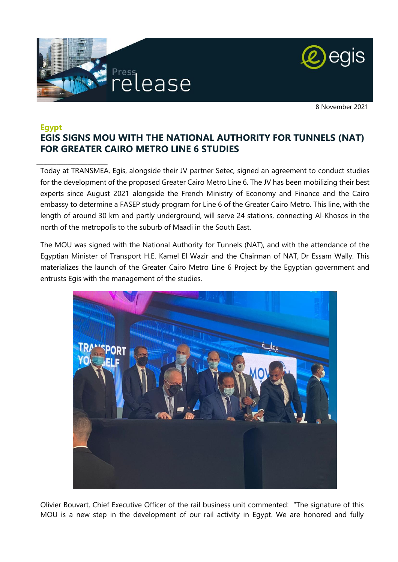

\_\_\_\_\_\_\_\_\_\_\_\_\_\_\_\_\_\_\_\_\_\_\_\_\_\_\_\_\_\_\_\_



8 November 2021

# **Egypt EGIS SIGNS MOU WITH THE NATIONAL AUTHORITY FOR TUNNELS (NAT) FOR GREATER CAIRO METRO LINE 6 STUDIES**

Today at TRANSMEA, Egis, alongside their JV partner Setec, signed an agreement to conduct studies for the development of the proposed Greater Cairo Metro Line 6. The JV has been mobilizing their best experts since August 2021 alongside the French Ministry of Economy and Finance and the Cairo embassy to determine a FASEP study program for Line 6 of the Greater Cairo Metro. This line, with the length of around 30 km and partly underground, will serve 24 stations, connecting Al-Khosos in the north of the metropolis to the suburb of Maadi in the South East.

The MOU was signed with the National Authority for Tunnels (NAT), and with the attendance of the Egyptian Minister of Transport H.E. Kamel El Wazir and the Chairman of NAT, Dr Essam Wally. This materializes the launch of the Greater Cairo Metro Line 6 Project by the Egyptian government and entrusts Egis with the management of the studies.



Olivier Bouvart, Chief Executive Officer of the rail business unit commented: "The signature of this MOU is a new step in the development of our rail activity in Egypt. We are honored and fully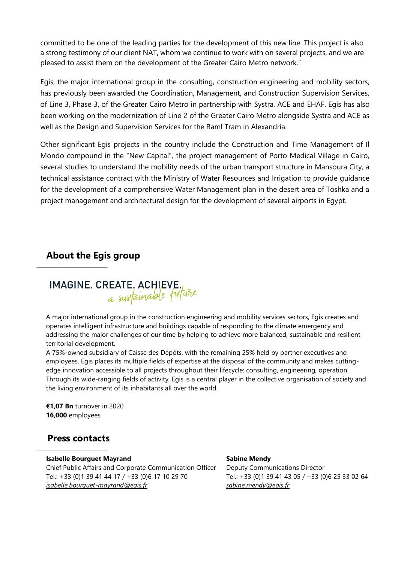committed to be one of the leading parties for the development of this new line. This project is also a strong testimony of our client NAT, whom we continue to work with on several projects, and we are pleased to assist them on the development of the Greater Cairo Metro network."

Egis, the major international group in the consulting, construction engineering and mobility sectors, has previously been awarded the Coordination, Management, and Construction Supervision Services, of Line 3, Phase 3, of the Greater Cairo Metro in partnership with Systra, ACE and EHAF. Egis has also been working on the modernization of Line 2 of the Greater Cairo Metro alongside Systra and ACE as well as the Design and Supervision Services for the Raml Tram in Alexandria.

Other significant Egis projects in the country include the Construction and Time Management of Il Mondo compound in the "New Capital", the project management of Porto Medical Village in Cairo, several studies to understand the mobility needs of the urban transport structure in Mansoura City, a technical assistance contract with the Ministry of Water Resources and Irrigation to provide guidance for the development of a comprehensive Water Management plan in the desert area of Toshka and a project management and architectural design for the development of several airports in Egypt.

# **About the Egis group**

 $\_$ 



A major international group in the construction engineering and mobility services sectors, Egis creates and operates intelligent infrastructure and buildings capable of responding to the climate emergency and addressing the major challenges of our time by helping to achieve more balanced, sustainable and resilient territorial development.

A 75%-owned subsidiary of Caisse des Dépôts, with the remaining 25% held by partner executives and employees, Egis places its multiple fields of expertise at the disposal of the community and makes cuttingedge innovation accessible to all projects throughout their lifecycle: consulting, engineering, operation. Through its wide-ranging fields of activity, Egis is a central player in the collective organisation of society and the living environment of its inhabitants all over the world.

**€1,07 Bn** turnover in 2020 **16,000** employees

# **Press contacts**

\_\_\_\_\_\_\_\_\_\_\_\_\_\_\_\_\_\_\_\_\_\_\_\_\_\_\_\_\_\_\_\_

#### **Isabelle Bourguet Mayrand**

Chief Public Affairs and Corporate Communication Officer Tel.: +33 (0)1 39 41 44 17 / +33 (0)6 17 10 29 70 *[isabelle.bourguet-mayrand@egis.fr](mailto:isabelle.bourguet-mayrand@egis.fr)*

#### **Sabine Mendy**

Deputy Communications Director Tel.: +33 (0)1 39 41 43 05 / +33 (0)6 25 33 02 64 *[sabine.mendy@egis.fr](mailto:sabine.mendy@egis.fr)*